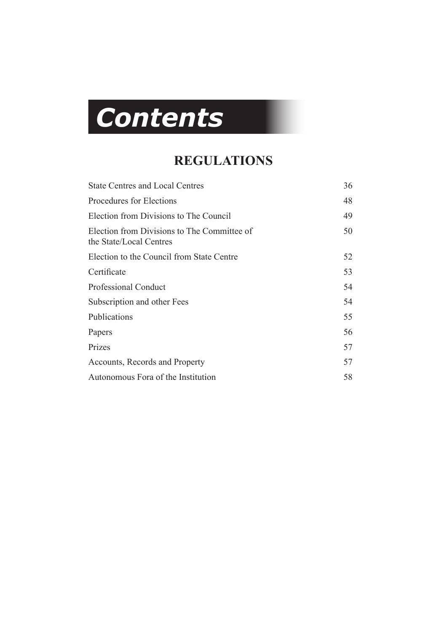# *Contents*

# **REGULATIONS**

| <b>State Centres and Local Centres</b>                                 | 36 |
|------------------------------------------------------------------------|----|
| Procedures for Elections                                               | 48 |
| Election from Divisions to The Council                                 | 49 |
| Election from Divisions to The Committee of<br>the State/Local Centres | 50 |
| Election to the Council from State Centre                              | 52 |
| Certificate                                                            | 53 |
| <b>Professional Conduct</b>                                            | 54 |
| Subscription and other Fees                                            | 54 |
| Publications                                                           | 55 |
| Papers                                                                 | 56 |
| Prizes                                                                 | 57 |
| Accounts, Records and Property                                         | 57 |
| Autonomous Fora of the Institution                                     | 58 |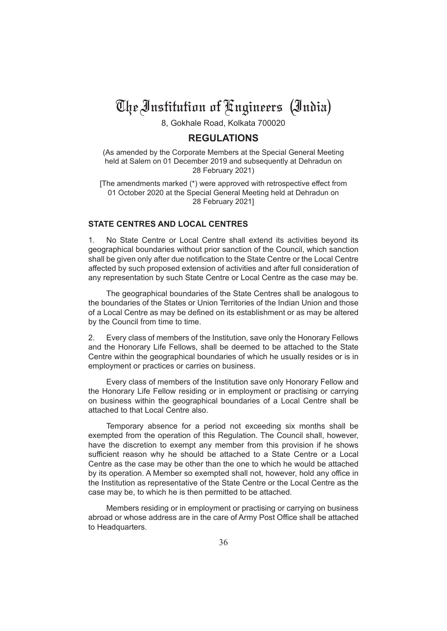# The Institution of Engineers (India)

8, Gokhale Road, Kolkata 700020

# **REGULATIONS**

(As amended by the Corporate Members at the Special General Meeting held at Salem on 01 December 2019 and subsequently at Dehradun on 28 February 2021)

[The amendments marked (\*) were approved with retrospective effect from 01 October 2020 at the Special General Meeting held at Dehradun on 28 February 2021]

# **STATE CENTRES AND LOCAL CENTRES**

1. No State Centre or Local Centre shall extend its activities beyond its geographical boundaries without prior sanction of the Council, which sanction shall be given only after due notification to the State Centre or the Local Centre affected by such proposed extension of activities and after full consideration of any representation by such State Centre or Local Centre as the case may be.

The geographical boundaries of the State Centres shall be analogous to the boundaries of the States or Union Territories of the Indian Union and those of a Local Centre as may be defined on its establishment or as may be altered by the Council from time to time.

2. Every class of members of the Institution, save only the Honorary Fellows and the Honorary Life Fellows, shall be deemed to be attached to the State Centre within the geographical boundaries of which he usually resides or is in employment or practices or carries on business.

Every class of members of the Institution save only Honorary Fellow and the Honorary Life Fellow residing or in employment or practising or carrying on business within the geographical boundaries of a Local Centre shall be attached to that Local Centre also.

Temporary absence for a period not exceeding six months shall be exempted from the operation of this Regulation. The Council shall, however, have the discretion to exempt any member from this provision if he shows sufficient reason why he should be attached to a State Centre or a Local Centre as the case may be other than the one to which he would be attached by its operation. A Member so exempted shall not, however, hold any office in the Institution as representative of the State Centre or the Local Centre as the case may be, to which he is then permitted to be attached.

Members residing or in employment or practising or carrying on business abroad or whose address are in the care of Army Post Office shall be attached to Headquarters.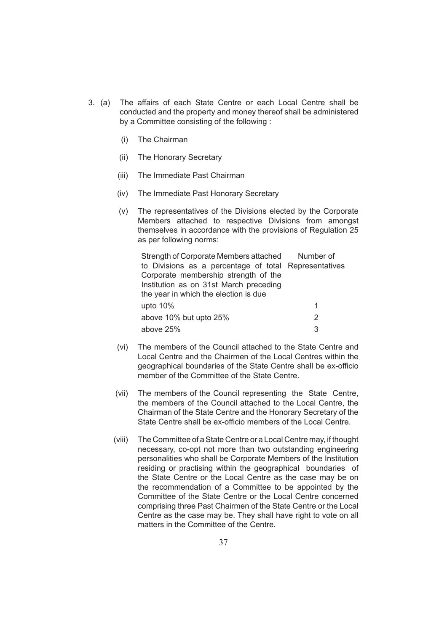- 3. (a) The affairs of each State Centre or each Local Centre shall be conducted and the property and money thereof shall be administered by a Committee consisting of the following :
	- (i) The Chairman
	- (ii) The Honorary Secretary
	- (iii) The Immediate Past Chairman
	- (iv) The Immediate Past Honorary Secretary
	- (v) The representatives of the Divisions elected by the Corporate Members attached to respective Divisions from amongst themselves in accordance with the provisions of Regulation 25 as per following norms:

| Strength of Corporate Members attached                | Number of     |
|-------------------------------------------------------|---------------|
| to Divisions as a percentage of total Representatives |               |
| Corporate membership strength of the                  |               |
| Institution as on 31st March preceding                |               |
| the year in which the election is due                 |               |
| upto 10%                                              | 1             |
| above 10% but upto 25%                                | $\mathcal{P}$ |
| above 25%                                             | 3             |

- (vi) The members of the Council attached to the State Centre and Local Centre and the Chairmen of the Local Centres within the geographical boundaries of the State Centre shall be ex-officio member of the Committee of the State Centre.
- (vii) The members of the Council representing the State Centre, the members of the Council attached to the Local Centre, the Chairman of the State Centre and the Honorary Secretary of the State Centre shall be ex-officio members of the Local Centre.
- (viii) The Committee of a State Centre or a Local Centre may, if thought necessary, co-opt not more than two outstanding engineering personalities who shall be Corporate Members of the Institution residing or practising within the geographical boundaries of the State Centre or the Local Centre as the case may be on the recommendation of a Committee to be appointed by the Committee of the State Centre or the Local Centre concerned comprising three Past Chairmen of the State Centre or the Local Centre as the case may be. They shall have right to vote on all matters in the Committee of the Centre.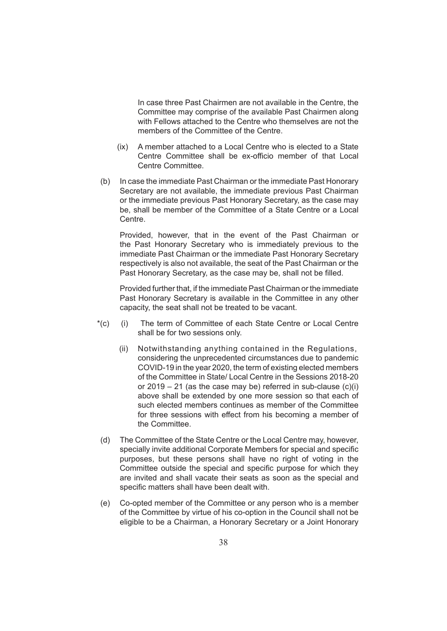In case three Past Chairmen are not available in the Centre, the Committee may comprise of the available Past Chairmen along with Fellows attached to the Centre who themselves are not the members of the Committee of the Centre.

- (ix) A member attached to a Local Centre who is elected to a State Centre Committee shall be ex-officio member of that Local Centre Committee.
- (b) In case the immediate Past Chairman or the immediate Past Honorary Secretary are not available, the immediate previous Past Chairman or the immediate previous Past Honorary Secretary, as the case may be, shall be member of the Committee of a State Centre or a Local Centre.

 Provided, however, that in the event of the Past Chairman or the Past Honorary Secretary who is immediately previous to the immediate Past Chairman or the immediate Past Honorary Secretary respectively is also not available, the seat of the Past Chairman or the Past Honorary Secretary, as the case may be, shall not be filled.

 Provided further that, if the immediate Past Chairman or the immediate Past Honorary Secretary is available in the Committee in any other capacity, the seat shall not be treated to be vacant.

- \*(c) (i) The term of Committee of each State Centre or Local Centre shall be for two sessions only.
	- (ii) Notwithstanding anything contained in the Regulations, considering the unprecedented circumstances due to pandemic COVID-19 in the year 2020, the term of existing elected members of the Committee in State/ Local Centre in the Sessions 2018-20 or  $2019 - 21$  (as the case may be) referred in sub-clause (c)(i) above shall be extended by one more session so that each of such elected members continues as member of the Committee for three sessions with effect from his becoming a member of the Committee.
- (d) The Committee of the State Centre or the Local Centre may, however, specially invite additional Corporate Members for special and specific purposes, but these persons shall have no right of voting in the Committee outside the special and specific purpose for which they are invited and shall vacate their seats as soon as the special and specific matters shall have been dealt with.
- (e) Co-opted member of the Committee or any person who is a member of the Committee by virtue of his co-option in the Council shall not be eligible to be a Chairman, a Honorary Secretary or a Joint Honorary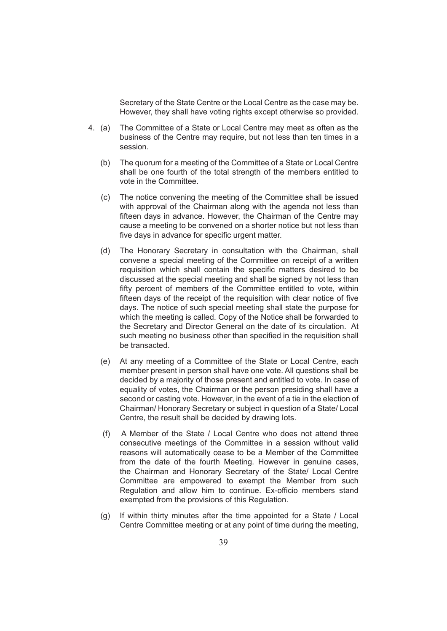Secretary of the State Centre or the Local Centre as the case may be. However, they shall have voting rights except otherwise so provided.

- 4. (a) The Committee of a State or Local Centre may meet as often as the business of the Centre may require, but not less than ten times in a session.
	- (b) The quorum for a meeting of the Committee of a State or Local Centre shall be one fourth of the total strength of the members entitled to vote in the Committee.
	- (c) The notice convening the meeting of the Committee shall be issued with approval of the Chairman along with the agenda not less than fifteen days in advance. However, the Chairman of the Centre may cause a meeting to be convened on a shorter notice but not less than five days in advance for specific urgent matter.
	- (d) The Honorary Secretary in consultation with the Chairman, shall convene a special meeting of the Committee on receipt of a written requisition which shall contain the specific matters desired to be discussed at the special meeting and shall be signed by not less than fifty percent of members of the Committee entitled to vote, within fifteen days of the receipt of the requisition with clear notice of five days. The notice of such special meeting shall state the purpose for which the meeting is called. Copy of the Notice shall be forwarded to the Secretary and Director General on the date of its circulation. At such meeting no business other than specified in the requisition shall be transacted.
	- (e) At any meeting of a Committee of the State or Local Centre, each member present in person shall have one vote. All questions shall be decided by a majority of those present and entitled to vote. In case of equality of votes, the Chairman or the person presiding shall have a second or casting vote. However, in the event of a tie in the election of Chairman/ Honorary Secretary or subject in question of a State/ Local Centre, the result shall be decided by drawing lots.
	- (f) A Member of the State / Local Centre who does not attend three consecutive meetings of the Committee in a session without valid reasons will automatically cease to be a Member of the Committee from the date of the fourth Meeting. However in genuine cases, the Chairman and Honorary Secretary of the State/ Local Centre Committee are empowered to exempt the Member from such Regulation and allow him to continue. Ex-officio members stand exempted from the provisions of this Regulation.
	- (g) If within thirty minutes after the time appointed for a State / Local Centre Committee meeting or at any point of time during the meeting,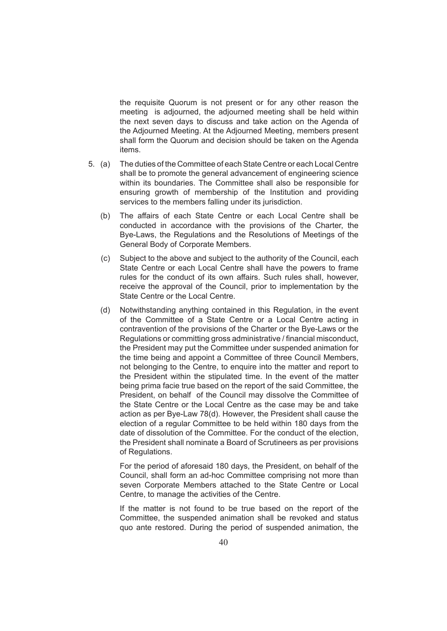the requisite Quorum is not present or for any other reason the meeting is adjourned, the adjourned meeting shall be held within the next seven days to discuss and take action on the Agenda of the Adjourned Meeting. At the Adjourned Meeting, members present shall form the Quorum and decision should be taken on the Agenda items.

- 5. (a) The duties of the Committee of each State Centre or each Local Centre shall be to promote the general advancement of engineering science within its boundaries. The Committee shall also be responsible for ensuring growth of membership of the Institution and providing services to the members falling under its jurisdiction.
	- (b) The affairs of each State Centre or each Local Centre shall be conducted in accordance with the provisions of the Charter, the Bye-Laws, the Regulations and the Resolutions of Meetings of the General Body of Corporate Members.
	- (c) Subject to the above and subject to the authority of the Council, each State Centre or each Local Centre shall have the powers to frame rules for the conduct of its own affairs. Such rules shall, however, receive the approval of the Council, prior to implementation by the State Centre or the Local Centre.
	- (d) Notwithstanding anything contained in this Regulation, in the event of the Committee of a State Centre or a Local Centre acting in contravention of the provisions of the Charter or the Bye-Laws or the Regulations or committing gross administrative / financial misconduct, the President may put the Committee under suspended animation for the time being and appoint a Committee of three Council Members, not belonging to the Centre, to enquire into the matter and report to the President within the stipulated time. In the event of the matter being prima facie true based on the report of the said Committee, the President, on behalf of the Council may dissolve the Committee of the State Centre or the Local Centre as the case may be and take action as per Bye-Law 78(d). However, the President shall cause the election of a regular Committee to be held within 180 days from the date of dissolution of the Committee. For the conduct of the election, the President shall nominate a Board of Scrutineers as per provisions of Regulations.

 For the period of aforesaid 180 days, the President, on behalf of the Council, shall form an ad-hoc Committee comprising not more than seven Corporate Members attached to the State Centre or Local Centre, to manage the activities of the Centre.

 If the matter is not found to be true based on the report of the Committee, the suspended animation shall be revoked and status quo ante restored. During the period of suspended animation, the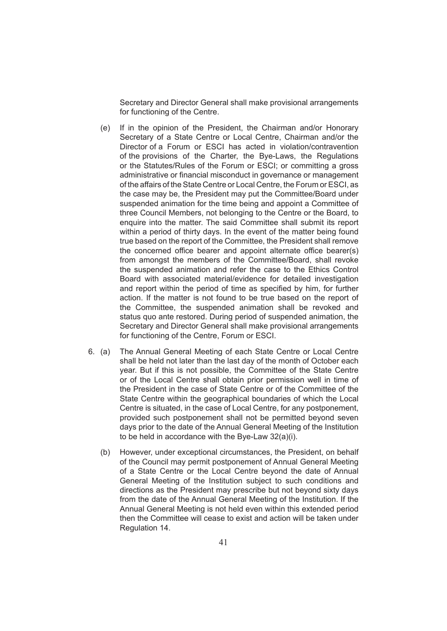Secretary and Director General shall make provisional arrangements for functioning of the Centre.

- (e) If in the opinion of the President, the Chairman and/or Honorary Secretary of a State Centre or Local Centre, Chairman and/or the Director of a Forum or ESCI has acted in violation/contravention of the provisions of the Charter, the Bye-Laws, the Regulations or the Statutes/Rules of the Forum or ESCI; or committing a gross administrative or financial misconduct in governance or management of the affairs of the State Centre or Local Centre, the Forum or ESCI, as the case may be, the President may put the Committee/Board under suspended animation for the time being and appoint a Committee of three Council Members, not belonging to the Centre or the Board, to enquire into the matter. The said Committee shall submit its report within a period of thirty days. In the event of the matter being found true based on the report of the Committee, the President shall remove the concerned office bearer and appoint alternate office bearer(s) from amongst the members of the Committee/Board, shall revoke the suspended animation and refer the case to the Ethics Control Board with associated material/evidence for detailed investigation and report within the period of time as specified by him, for further action. If the matter is not found to be true based on the report of the Committee, the suspended animation shall be revoked and status quo ante restored. During period of suspended animation, the Secretary and Director General shall make provisional arrangements for functioning of the Centre, Forum or ESCI.
- 6. (a) The Annual General Meeting of each State Centre or Local Centre shall be held not later than the last day of the month of October each year. But if this is not possible, the Committee of the State Centre or of the Local Centre shall obtain prior permission well in time of the President in the case of State Centre or of the Committee of the State Centre within the geographical boundaries of which the Local Centre is situated, in the case of Local Centre, for any postponement, provided such postponement shall not be permitted beyond seven days prior to the date of the Annual General Meeting of the Institution to be held in accordance with the Bye-Law 32(a)(i).
	- (b) However, under exceptional circumstances, the President, on behalf of the Council may permit postponement of Annual General Meeting of a State Centre or the Local Centre beyond the date of Annual General Meeting of the Institution subject to such conditions and directions as the President may prescribe but not beyond sixty days from the date of the Annual General Meeting of the Institution. If the Annual General Meeting is not held even within this extended period then the Committee will cease to exist and action will be taken under Regulation 14.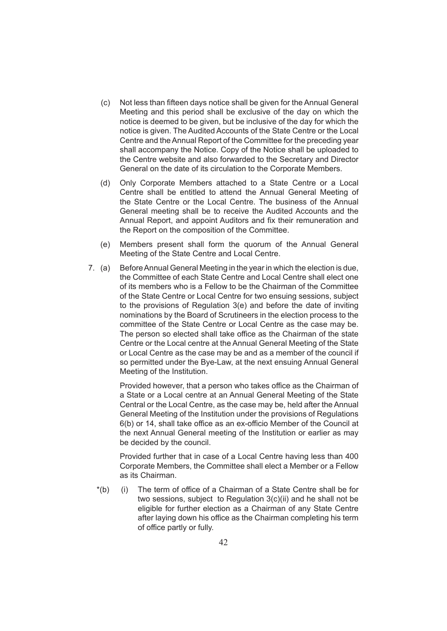- (c) Not less than fifteen days notice shall be given for the Annual General Meeting and this period shall be exclusive of the day on which the notice is deemed to be given, but be inclusive of the day for which the notice is given. The Audited Accounts of the State Centre or the Local Centre and the Annual Report of the Committee for the preceding year shall accompany the Notice. Copy of the Notice shall be uploaded to the Centre website and also forwarded to the Secretary and Director General on the date of its circulation to the Corporate Members.
- (d) Only Corporate Members attached to a State Centre or a Local Centre shall be entitled to attend the Annual General Meeting of the State Centre or the Local Centre. The business of the Annual General meeting shall be to receive the Audited Accounts and the Annual Report, and appoint Auditors and fix their remuneration and the Report on the composition of the Committee.
- (e) Members present shall form the quorum of the Annual General Meeting of the State Centre and Local Centre.
- 7. (a) Before Annual General Meeting in the year in which the election is due, the Committee of each State Centre and Local Centre shall elect one of its members who is a Fellow to be the Chairman of the Committee of the State Centre or Local Centre for two ensuing sessions, subject to the provisions of Regulation 3(e) and before the date of inviting nominations by the Board of Scrutineers in the election process to the committee of the State Centre or Local Centre as the case may be. The person so elected shall take office as the Chairman of the state Centre or the Local centre at the Annual General Meeting of the State or Local Centre as the case may be and as a member of the council if so permitted under the Bye-Law, at the next ensuing Annual General Meeting of the Institution.

Provided however, that a person who takes office as the Chairman of a State or a Local centre at an Annual General Meeting of the State Central or the Local Centre, as the case may be, held after the Annual General Meeting of the Institution under the provisions of Regulations 6(b) or 14, shall take office as an ex-officio Member of the Council at the next Annual General meeting of the Institution or earlier as may be decided by the council.

 Provided further that in case of a Local Centre having less than 400 Corporate Members, the Committee shall elect a Member or a Fellow as its Chairman.

\*(b) (i) The term of office of a Chairman of a State Centre shall be for two sessions, subject to Regulation 3(c)(ii) and he shall not be eligible for further election as a Chairman of any State Centre after laying down his office as the Chairman completing his term of office partly or fully.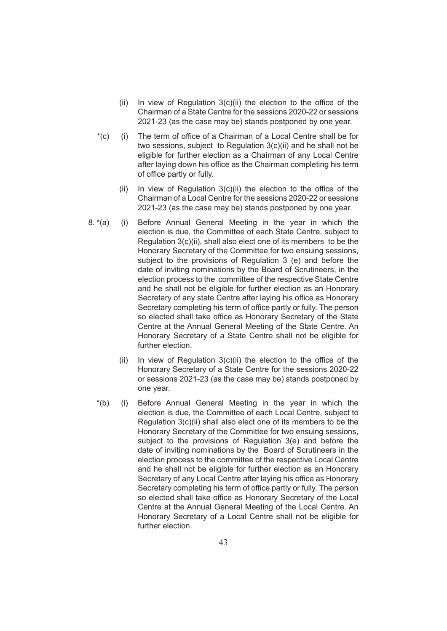- (ii) In view of Regulation  $3(c)(ii)$  the election to the office of the Chairman of a State Centre for the sessions 2020-22 or sessions 2021-23 (as the case may be) stands postponed by one year.
- \*(c) (i) The term of office of a Chairman of a Local Centre shall be for two sessions, subject to Regulation 3(c)(ii) and he shall not be eligible for further election as a Chairman of any Local Centre after laying down his office as the Chairman completing his term of office partly or fully.
	- (ii) In view of Regulation  $3(c)$ (ii) the election to the office of the Chairman of a Local Centre for the sessions 2020-22 or sessions 2021-23 (as the case may be) stands postponed by one year.
- 8. \*(a) (i) Before Annual General Meeting in the year in which the election is due, the Committee of each State Centre, subject to Regulation 3(c)(ii), shall also elect one of its members to be the Honorary Secretary of the Committee for two ensuing sessions, subject to the provisions of Regulation 3 (e) and before the date of inviting nominations by the Board of Scrutineers, in the election process to the committee of the respective State Centre and he shall not be eligible for further election as an Honorary Secretary of any state Centre after laying his office as Honorary Secretary completing his term of office partly or fully. The person so elected shall take office as Honorary Secretary of the State Centre at the Annual General Meeting of the State Centre. An Honorary Secretary of a State Centre shall not be eligible for further election.
	- (ii) In view of Regulation  $3(c)(ii)$  the election to the office of the Honorary Secretary of a State Centre for the sessions 2020-22 or sessions 2021-23 (as the case may be) stands postponed by one year.
	- \*(b) (i) Before Annual General Meeting in the year in which the election is due, the Committee of each Local Centre, subject to Regulation 3(c)(ii) shall also elect one of its members to be the Honorary Secretary of the Committee for two ensuing sessions, subject to the provisions of Regulation 3(e) and before the date of inviting nominations by the Board of Scrutineers in the election process to the committee of the respective Local Centre and he shall not be eligible for further election as an Honorary Secretary of any Local Centre after laying his office as Honorary Secretary completing his term of office partly or fully. The person so elected shall take office as Honorary Secretary of the Local Centre at the Annual General Meeting of the Local Centre. An Honorary Secretary of a Local Centre shall not be eligible for further election.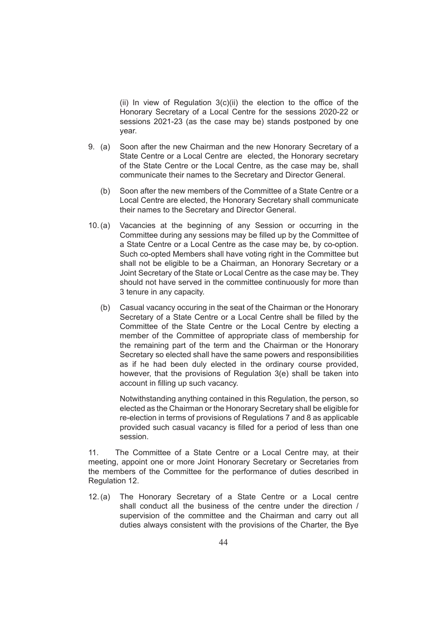(ii) In view of Regulation 3(c)(ii) the election to the office of the Honorary Secretary of a Local Centre for the sessions 2020-22 or sessions 2021-23 (as the case may be) stands postponed by one year.

- 9. (a) Soon after the new Chairman and the new Honorary Secretary of a State Centre or a Local Centre are elected, the Honorary secretary of the State Centre or the Local Centre, as the case may be, shall communicate their names to the Secretary and Director General.
	- (b) Soon after the new members of the Committee of a State Centre or a Local Centre are elected, the Honorary Secretary shall communicate their names to the Secretary and Director General.
- 10.(a) Vacancies at the beginning of any Session or occurring in the Committee during any sessions may be filled up by the Committee of a State Centre or a Local Centre as the case may be, by co-option. Such co-opted Members shall have voting right in the Committee but shall not be eligible to be a Chairman, an Honorary Secretary or a Joint Secretary of the State or Local Centre as the case may be. They should not have served in the committee continuously for more than 3 tenure in any capacity.
	- (b) Casual vacancy occuring in the seat of the Chairman or the Honorary Secretary of a State Centre or a Local Centre shall be filled by the Committee of the State Centre or the Local Centre by electing a member of the Committee of appropriate class of membership for the remaining part of the term and the Chairman or the Honorary Secretary so elected shall have the same powers and responsibilities as if he had been duly elected in the ordinary course provided, however, that the provisions of Regulation 3(e) shall be taken into account in filling up such vacancy.

 Notwithstanding anything contained in this Regulation, the person, so elected as the Chairman or the Honorary Secretary shall be eligible for re-election in terms of provisions of Regulations 7 and 8 as applicable provided such casual vacancy is filled for a period of less than one session.

11. The Committee of a State Centre or a Local Centre may, at their meeting, appoint one or more Joint Honorary Secretary or Secretaries from the members of the Committee for the performance of duties described in Regulation 12.

12.(a) The Honorary Secretary of a State Centre or a Local centre shall conduct all the business of the centre under the direction / supervision of the committee and the Chairman and carry out all duties always consistent with the provisions of the Charter, the Bye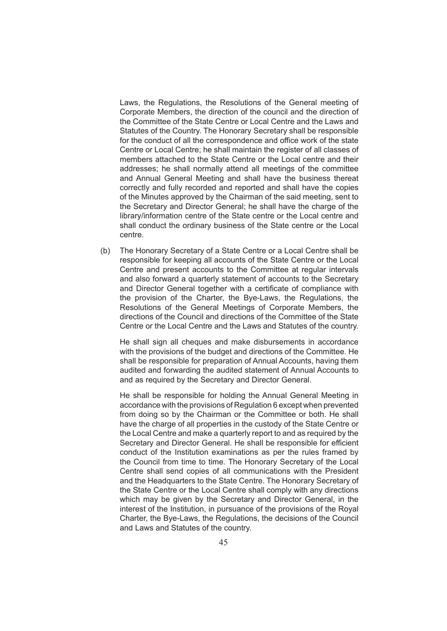Laws, the Regulations, the Resolutions of the General meeting of Corporate Members, the direction of the council and the direction of the Committee of the State Centre or Local Centre and the Laws and Statutes of the Country. The Honorary Secretary shall be responsible for the conduct of all the correspondence and office work of the state Centre or Local Centre; he shall maintain the register of all classes of members attached to the State Centre or the Local centre and their addresses; he shall normally attend all meetings of the committee and Annual General Meeting and shall have the business thereat correctly and fully recorded and reported and shall have the copies of the Minutes approved by the Chairman of the said meeting, sent to the Secretary and Director General; he shall have the charge of the library/information centre of the State centre or the Local centre and shall conduct the ordinary business of the State centre or the Local centre.

(b) The Honorary Secretary of a State Centre or a Local Centre shall be responsible for keeping all accounts of the State Centre or the Local Centre and present accounts to the Committee at regular intervals and also forward a quarterly statement of accounts to the Secretary and Director General together with a certificate of compliance with the provision of the Charter, the Bye-Laws, the Regulations, the Resolutions of the General Meetings of Corporate Members, the directions of the Council and directions of the Committee of the State Centre or the Local Centre and the Laws and Statutes of the country.

 He shall sign all cheques and make disbursements in accordance with the provisions of the budget and directions of the Committee. He shall be responsible for preparation of Annual Accounts, having them audited and forwarding the audited statement of Annual Accounts to and as required by the Secretary and Director General.

 He shall be responsible for holding the Annual General Meeting in accordance with the provisions of Regulation 6 except when prevented from doing so by the Chairman or the Committee or both. He shall have the charge of all properties in the custody of the State Centre or the Local Centre and make a quarterly report to and as required by the Secretary and Director General. He shall be responsible for efficient conduct of the Institution examinations as per the rules framed by the Council from time to time. The Honorary Secretary of the Local Centre shall send copies of all communications with the President and the Headquarters to the State Centre. The Honorary Secretary of the State Centre or the Local Centre shall comply with any directions which may be given by the Secretary and Director General, in the interest of the Institution, in pursuance of the provisions of the Royal Charter, the Bye-Laws, the Regulations, the decisions of the Council and Laws and Statutes of the country.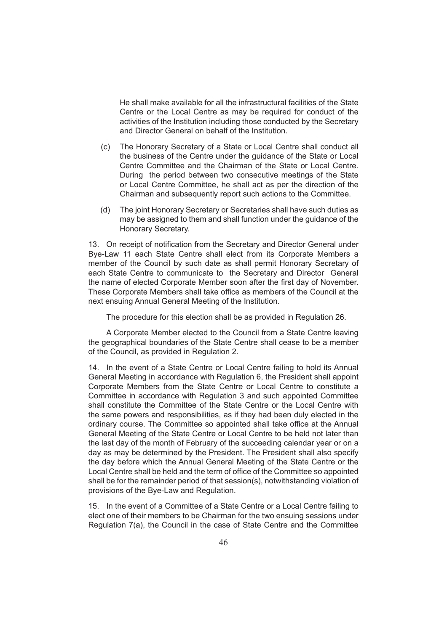He shall make available for all the infrastructural facilities of the State Centre or the Local Centre as may be required for conduct of the activities of the Institution including those conducted by the Secretary and Director General on behalf of the Institution.

- (c) The Honorary Secretary of a State or Local Centre shall conduct all the business of the Centre under the guidance of the State or Local Centre Committee and the Chairman of the State or Local Centre. During the period between two consecutive meetings of the State or Local Centre Committee, he shall act as per the direction of the Chairman and subsequently report such actions to the Committee.
- (d) The joint Honorary Secretary or Secretaries shall have such duties as may be assigned to them and shall function under the guidance of the Honorary Secretary.

13. On receipt of notification from the Secretary and Director General under Bye-Law 11 each State Centre shall elect from its Corporate Members a member of the Council by such date as shall permit Honorary Secretary of each State Centre to communicate to the Secretary and Director General the name of elected Corporate Member soon after the first day of November. These Corporate Members shall take office as members of the Council at the next ensuing Annual General Meeting of the Institution.

The procedure for this election shall be as provided in Regulation 26.

A Corporate Member elected to the Council from a State Centre leaving the geographical boundaries of the State Centre shall cease to be a member of the Council, as provided in Regulation 2.

14. In the event of a State Centre or Local Centre failing to hold its Annual General Meeting in accordance with Regulation 6, the President shall appoint Corporate Members from the State Centre or Local Centre to constitute a Committee in accordance with Regulation 3 and such appointed Committee shall constitute the Committee of the State Centre or the Local Centre with the same powers and responsibilities, as if they had been duly elected in the ordinary course. The Committee so appointed shall take office at the Annual General Meeting of the State Centre or Local Centre to be held not later than the last day of the month of February of the succeeding calendar year or on a day as may be determined by the President. The President shall also specify the day before which the Annual General Meeting of the State Centre or the Local Centre shall be held and the term of office of the Committee so appointed shall be for the remainder period of that session(s), notwithstanding violation of provisions of the Bye-Law and Regulation.

15. In the event of a Committee of a State Centre or a Local Centre failing to elect one of their members to be Chairman for the two ensuing sessions under Regulation 7(a), the Council in the case of State Centre and the Committee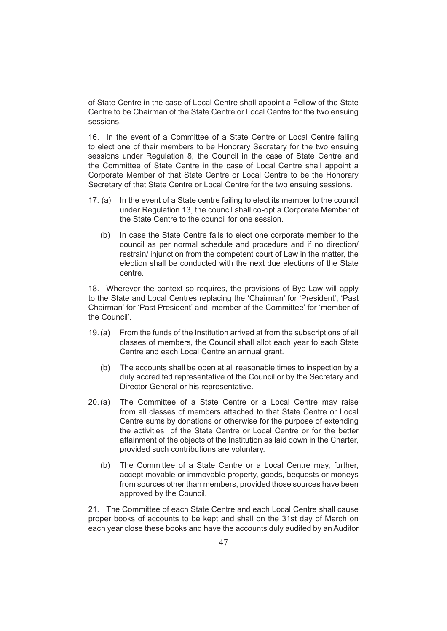of State Centre in the case of Local Centre shall appoint a Fellow of the State Centre to be Chairman of the State Centre or Local Centre for the two ensuing sessions.

16. In the event of a Committee of a State Centre or Local Centre failing to elect one of their members to be Honorary Secretary for the two ensuing sessions under Regulation 8, the Council in the case of State Centre and the Committee of State Centre in the case of Local Centre shall appoint a Corporate Member of that State Centre or Local Centre to be the Honorary Secretary of that State Centre or Local Centre for the two ensuing sessions.

- 17. (a) In the event of a State centre failing to elect its member to the council under Regulation 13, the council shall co-opt a Corporate Member of the State Centre to the council for one session.
	- (b) In case the State Centre fails to elect one corporate member to the council as per normal schedule and procedure and if no direction/ restrain/ injunction from the competent court of Law in the matter, the election shall be conducted with the next due elections of the State centre.

18. Wherever the context so requires, the provisions of Bye-Law will apply to the State and Local Centres replacing the 'Chairman' for 'President', 'Past Chairman' for 'Past President' and 'member of the Committee' for 'member of the Council'.

- 19.(a) From the funds of the Institution arrived at from the subscriptions of all classes of members, the Council shall allot each year to each State Centre and each Local Centre an annual grant.
	- (b) The accounts shall be open at all reasonable times to inspection by a duly accredited representative of the Council or by the Secretary and Director General or his representative.
- 20.(a) The Committee of a State Centre or a Local Centre may raise from all classes of members attached to that State Centre or Local Centre sums by donations or otherwise for the purpose of extending the activities of the State Centre or Local Centre or for the better attainment of the objects of the Institution as laid down in the Charter, provided such contributions are voluntary.
	- (b) The Committee of a State Centre or a Local Centre may, further, accept movable or immovable property, goods, bequests or moneys from sources other than members, provided those sources have been approved by the Council.

21. The Committee of each State Centre and each Local Centre shall cause proper books of accounts to be kept and shall on the 31st day of March on each year close these books and have the accounts duly audited by an Auditor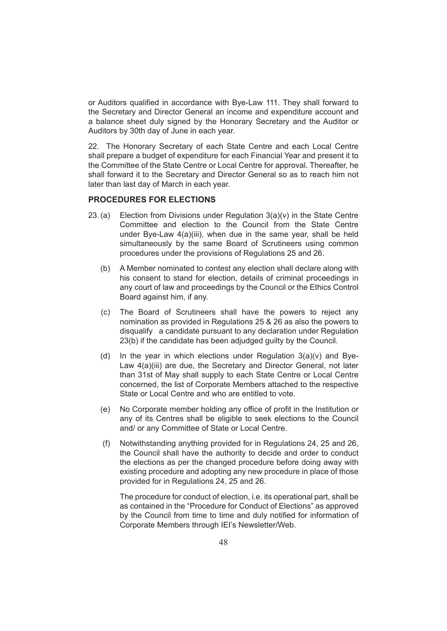or Auditors qualified in accordance with Bye-Law 111. They shall forward to the Secretary and Director General an income and expenditure account and a balance sheet duly signed by the Honorary Secretary and the Auditor or Auditors by 30th day of June in each year.

22. The Honorary Secretary of each State Centre and each Local Centre shall prepare a budget of expenditure for each Financial Year and present it to the Committee of the State Centre or Local Centre for approval. Thereafter, he shall forward it to the Secretary and Director General so as to reach him not later than last day of March in each year.

# **PROCEDURES FOR ELECTIONS**

- 23.(a) Election from Divisions under Regulation  $3(a)(v)$  in the State Centre Committee and election to the Council from the State Centre under Bye-Law 4(a)(iii), when due in the same year, shall be held simultaneously by the same Board of Scrutineers using common procedures under the provisions of Regulations 25 and 26.
	- (b) A Member nominated to contest any election shall declare along with his consent to stand for election, details of criminal proceedings in any court of law and proceedings by the Council or the Ethics Control Board against him, if any.
	- (c) The Board of Scrutineers shall have the powers to reject any nomination as provided in Regulations 25 & 26 as also the powers to disqualify a candidate pursuant to any declaration under Regulation 23(b) if the candidate has been adjudged guilty by the Council.
	- (d) In the year in which elections under Regulation  $3(a)(v)$  and Bye-Law 4(a)(iii) are due, the Secretary and Director General, not later than 31st of May shall supply to each State Centre or Local Centre concerned, the list of Corporate Members attached to the respective State or Local Centre and who are entitled to vote.
	- (e) No Corporate member holding any office of profit in the Institution or any of its Centres shall be eligible to seek elections to the Council and/ or any Committee of State or Local Centre.
	- (f) Notwithstanding anything provided for in Regulations 24, 25 and 26, the Council shall have the authority to decide and order to conduct the elections as per the changed procedure before doing away with existing procedure and adopting any new procedure in place of those provided for in Regulations 24, 25 and 26.

 The procedure for conduct of election, i.e. its operational part, shall be as contained in the "Procedure for Conduct of Elections" as approved by the Council from time to time and duly notified for information of Corporate Members through IEI's Newsletter/Web.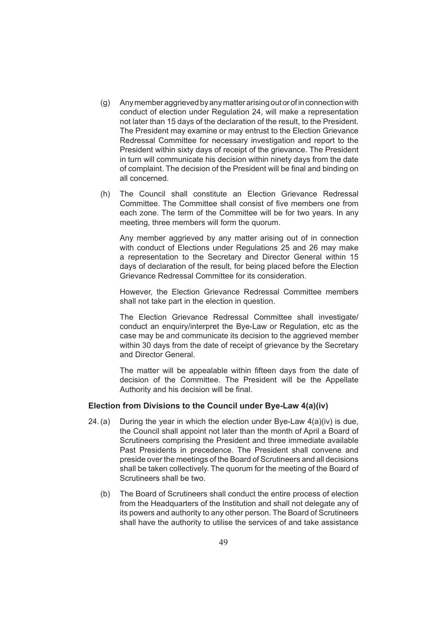- (g) Any member aggrieved by any matter arising out or of in connection with conduct of election under Regulation 24, will make a representation not later than 15 days of the declaration of the result, to the President. The President may examine or may entrust to the Election Grievance Redressal Committee for necessary investigation and report to the President within sixty days of receipt of the grievance. The President in turn will communicate his decision within ninety days from the date of complaint. The decision of the President will be final and binding on all concerned.
- (h) The Council shall constitute an Election Grievance Redressal Committee. The Committee shall consist of five members one from each zone. The term of the Committee will be for two years. In any meeting, three members will form the quorum.

 Any member aggrieved by any matter arising out of in connection with conduct of Elections under Regulations 25 and 26 may make a representation to the Secretary and Director General within 15 days of declaration of the result, for being placed before the Election Grievance Redressal Committee for its consideration.

 However, the Election Grievance Redressal Committee members shall not take part in the election in question.

 The Election Grievance Redressal Committee shall investigate/ conduct an enquiry/interpret the Bye-Law or Regulation, etc as the case may be and communicate its decision to the aggrieved member within 30 days from the date of receipt of grievance by the Secretary and Director General.

The matter will be appealable within fifteen days from the date of decision of the Committee. The President will be the Appellate Authority and his decision will be final.

# **Election from Divisions to the Council under Bye-Law 4(a)(iv)**

- 24.(a) During the year in which the election under Bye-Law  $4(a)(iv)$  is due, the Council shall appoint not later than the month of April a Board of Scrutineers comprising the President and three immediate available Past Presidents in precedence. The President shall convene and preside over the meetings of the Board of Scrutineers and all decisions shall be taken collectively. The quorum for the meeting of the Board of Scrutineers shall be two.
	- (b) The Board of Scrutineers shall conduct the entire process of election from the Headquarters of the Institution and shall not delegate any of its powers and authority to any other person. The Board of Scrutineers shall have the authority to utilise the services of and take assistance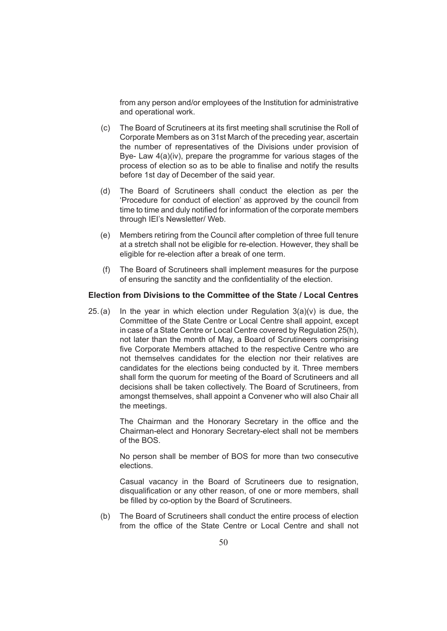from any person and/or employees of the Institution for administrative and operational work.

- (c) The Board of Scrutineers at its first meeting shall scrutinise the Roll of Corporate Members as on 31st March of the preceding year, ascertain the number of representatives of the Divisions under provision of Bye- Law 4(a)(iv), prepare the programme for various stages of the process of election so as to be able to finalise and notify the results before 1st day of December of the said year.
- (d) The Board of Scrutineers shall conduct the election as per the 'Procedure for conduct of election' as approved by the council from time to time and duly notified for information of the corporate members through IEI's Newsletter/ Web.
- (e) Members retiring from the Council after completion of three full tenure at a stretch shall not be eligible for re-election. However, they shall be eligible for re-election after a break of one term.
- (f) The Board of Scrutineers shall implement measures for the purpose of ensuring the sanctity and the confidentiality of the election.

# **Election from Divisions to the Committee of the State / Local Centres**

25.(a) In the year in which election under Regulation  $3(a)(v)$  is due, the Committee of the State Centre or Local Centre shall appoint, except in case of a State Centre or Local Centre covered by Regulation 25(h), not later than the month of May, a Board of Scrutineers comprising five Corporate Members attached to the respective Centre who are not themselves candidates for the election nor their relatives are candidates for the elections being conducted by it. Three members shall form the quorum for meeting of the Board of Scrutineers and all decisions shall be taken collectively. The Board of Scrutineers, from amongst themselves, shall appoint a Convener who will also Chair all the meetings.

> The Chairman and the Honorary Secretary in the office and the Chairman-elect and Honorary Secretary-elect shall not be members of the BOS.

> No person shall be member of BOS for more than two consecutive elections.

> Casual vacancy in the Board of Scrutineers due to resignation, disqualification or any other reason, of one or more members, shall be filled by co-option by the Board of Scrutineers.

(b) The Board of Scrutineers shall conduct the entire process of election from the office of the State Centre or Local Centre and shall not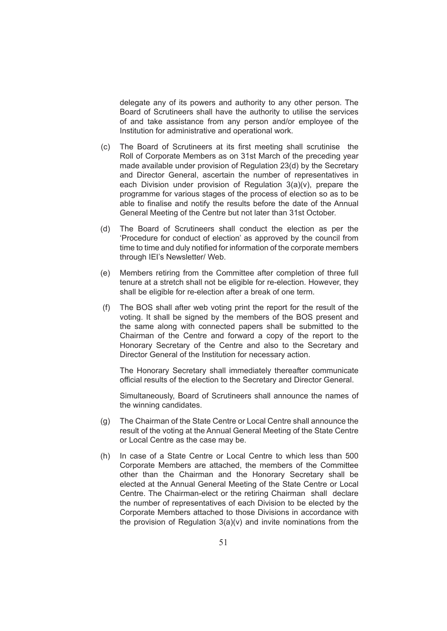delegate any of its powers and authority to any other person. The Board of Scrutineers shall have the authority to utilise the services of and take assistance from any person and/or employee of the Institution for administrative and operational work.

- (c) The Board of Scrutineers at its first meeting shall scrutinise the Roll of Corporate Members as on 31st March of the preceding year made available under provision of Regulation 23(d) by the Secretary and Director General, ascertain the number of representatives in each Division under provision of Regulation  $3(a)(v)$ , prepare the programme for various stages of the process of election so as to be able to finalise and notify the results before the date of the Annual General Meeting of the Centre but not later than 31st October.
- (d) The Board of Scrutineers shall conduct the election as per the 'Procedure for conduct of election' as approved by the council from time to time and duly notified for information of the corporate members through IEI's Newsletter/ Web.
- (e) Members retiring from the Committee after completion of three full tenure at a stretch shall not be eligible for re-election. However, they shall be eligible for re-election after a break of one term.
- (f) The BOS shall after web voting print the report for the result of the voting. It shall be signed by the members of the BOS present and the same along with connected papers shall be submitted to the Chairman of the Centre and forward a copy of the report to the Honorary Secretary of the Centre and also to the Secretary and Director General of the Institution for necessary action.

 The Honorary Secretary shall immediately thereafter communicate official results of the election to the Secretary and Director General.

 Simultaneously, Board of Scrutineers shall announce the names of the winning candidates.

- (g) The Chairman of the State Centre or Local Centre shall announce the result of the voting at the Annual General Meeting of the State Centre or Local Centre as the case may be.
- (h) In case of a State Centre or Local Centre to which less than 500 Corporate Members are attached, the members of the Committee other than the Chairman and the Honorary Secretary shall be elected at the Annual General Meeting of the State Centre or Local Centre. The Chairman-elect or the retiring Chairman shall declare the number of representatives of each Division to be elected by the Corporate Members attached to those Divisions in accordance with the provision of Regulation  $3(a)(v)$  and invite nominations from the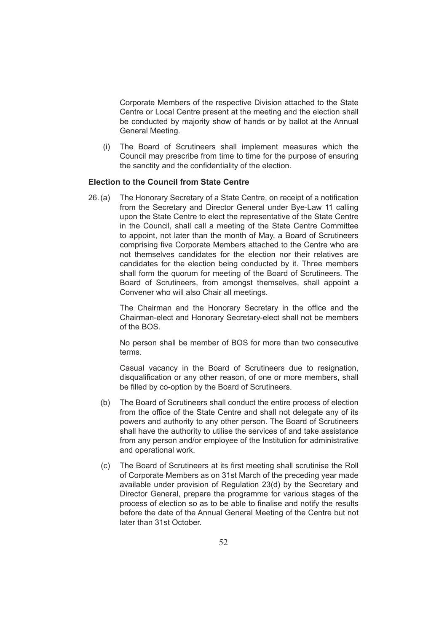Corporate Members of the respective Division attached to the State Centre or Local Centre present at the meeting and the election shall be conducted by majority show of hands or by ballot at the Annual General Meeting.

(i) The Board of Scrutineers shall implement measures which the Council may prescribe from time to time for the purpose of ensuring the sanctity and the confidentiality of the election.

# **Election to the Council from State Centre**

26.(a) The Honorary Secretary of a State Centre, on receipt of a notification from the Secretary and Director General under Bye-Law 11 calling upon the State Centre to elect the representative of the State Centre in the Council, shall call a meeting of the State Centre Committee to appoint, not later than the month of May, a Board of Scrutineers comprising five Corporate Members attached to the Centre who are not themselves candidates for the election nor their relatives are candidates for the election being conducted by it. Three members shall form the quorum for meeting of the Board of Scrutineers. The Board of Scrutineers, from amongst themselves, shall appoint a Convener who will also Chair all meetings.

> The Chairman and the Honorary Secretary in the office and the Chairman-elect and Honorary Secretary-elect shall not be members of the BOS.

> No person shall be member of BOS for more than two consecutive terms.

> Casual vacancy in the Board of Scrutineers due to resignation, disqualification or any other reason, of one or more members, shall be filled by co-option by the Board of Scrutineers.

- (b) The Board of Scrutineers shall conduct the entire process of election from the office of the State Centre and shall not delegate any of its powers and authority to any other person. The Board of Scrutineers shall have the authority to utilise the services of and take assistance from any person and/or employee of the Institution for administrative and operational work.
- (c) The Board of Scrutineers at its first meeting shall scrutinise the Roll of Corporate Members as on 31st March of the preceding year made available under provision of Regulation 23(d) by the Secretary and Director General, prepare the programme for various stages of the process of election so as to be able to finalise and notify the results before the date of the Annual General Meeting of the Centre but not later than 31st October.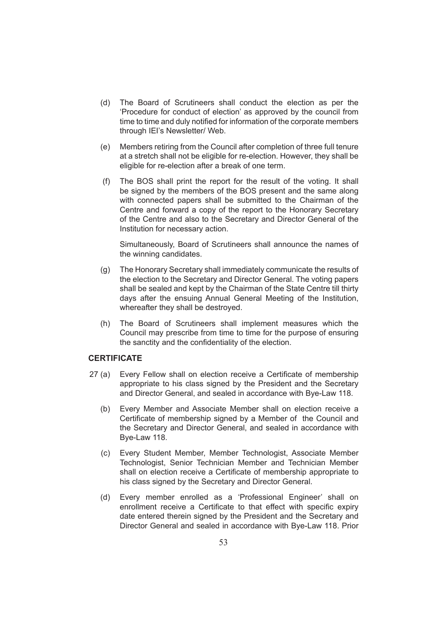- (d) The Board of Scrutineers shall conduct the election as per the 'Procedure for conduct of election' as approved by the council from time to time and duly notified for information of the corporate members through IEI's Newsletter/ Web.
- (e) Members retiring from the Council after completion of three full tenure at a stretch shall not be eligible for re-election. However, they shall be eligible for re-election after a break of one term.
- (f) The BOS shall print the report for the result of the voting. It shall be signed by the members of the BOS present and the same along with connected papers shall be submitted to the Chairman of the Centre and forward a copy of the report to the Honorary Secretary of the Centre and also to the Secretary and Director General of the Institution for necessary action.

 Simultaneously, Board of Scrutineers shall announce the names of the winning candidates.

- (g) The Honorary Secretary shall immediately communicate the results of the election to the Secretary and Director General. The voting papers shall be sealed and kept by the Chairman of the State Centre till thirty days after the ensuing Annual General Meeting of the Institution, whereafter they shall be destroyed.
- (h) The Board of Scrutineers shall implement measures which the Council may prescribe from time to time for the purpose of ensuring the sanctity and the confidentiality of the election.

# **CERTIFICATE**

- 27 (a) Every Fellow shall on election receive a Certificate of membership appropriate to his class signed by the President and the Secretary and Director General, and sealed in accordance with Bye-Law 118.
	- (b) Every Member and Associate Member shall on election receive a Certificate of membership signed by a Member of the Council and the Secretary and Director General, and sealed in accordance with Bye-Law 118.
	- (c) Every Student Member, Member Technologist, Associate Member Technologist, Senior Technician Member and Technician Member shall on election receive a Certificate of membership appropriate to his class signed by the Secretary and Director General.
	- (d) Every member enrolled as a 'Professional Engineer' shall on enrollment receive a Certificate to that effect with specific expiry date entered therein signed by the President and the Secretary and Director General and sealed in accordance with Bye-Law 118. Prior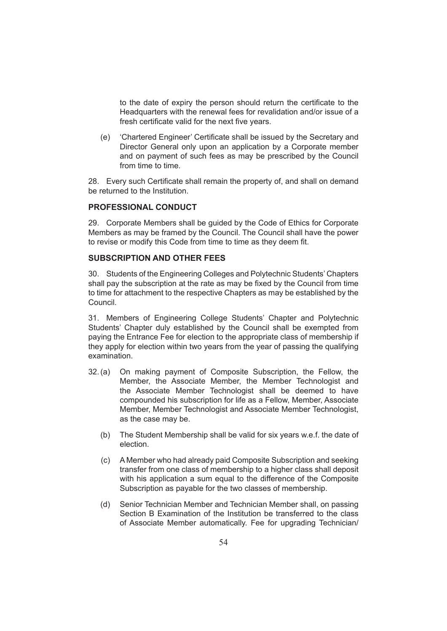to the date of expiry the person should return the certificate to the Headquarters with the renewal fees for revalidation and/or issue of a fresh certificate valid for the next five years.

(e) 'Chartered Engineer' Certificate shall be issued by the Secretary and Director General only upon an application by a Corporate member and on payment of such fees as may be prescribed by the Council from time to time.

28. Every such Certificate shall remain the property of, and shall on demand be returned to the Institution.

# **PROFESSIONAL CONDUCT**

29. Corporate Members shall be guided by the Code of Ethics for Corporate Members as may be framed by the Council. The Council shall have the power to revise or modify this Code from time to time as they deem fit.

#### **SUBSCRIPTION AND OTHER FEES**

30. Students of the Engineering Colleges and Polytechnic Students' Chapters shall pay the subscription at the rate as may be fixed by the Council from time to time for attachment to the respective Chapters as may be established by the Council.

31. Members of Engineering College Students' Chapter and Polytechnic Students' Chapter duly established by the Council shall be exempted from paying the Entrance Fee for election to the appropriate class of membership if they apply for election within two years from the year of passing the qualifying examination.

- 32.(a) On making payment of Composite Subscription, the Fellow, the Member, the Associate Member, the Member Technologist and the Associate Member Technologist shall be deemed to have compounded his subscription for life as a Fellow, Member, Associate Member, Member Technologist and Associate Member Technologist, as the case may be.
	- (b) The Student Membership shall be valid for six years w.e.f. the date of election.
	- (c) A Member who had already paid Composite Subscription and seeking transfer from one class of membership to a higher class shall deposit with his application a sum equal to the difference of the Composite Subscription as payable for the two classes of membership.
	- (d) Senior Technician Member and Technician Member shall, on passing Section B Examination of the Institution be transferred to the class of Associate Member automatically. Fee for upgrading Technician/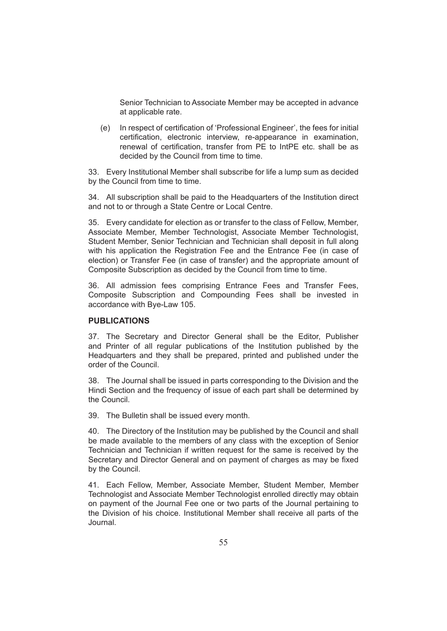Senior Technician to Associate Member may be accepted in advance at applicable rate.

(e) In respect of certification of 'Professional Engineer', the fees for initial certification, electronic interview, re-appearance in examination, renewal of certification, transfer from PE to IntPE etc. shall be as decided by the Council from time to time.

33. Every Institutional Member shall subscribe for life a lump sum as decided by the Council from time to time.

34. All subscription shall be paid to the Headquarters of the Institution direct and not to or through a State Centre or Local Centre.

35. Every candidate for election as or transfer to the class of Fellow, Member, Associate Member, Member Technologist, Associate Member Technologist, Student Member, Senior Technician and Technician shall deposit in full along with his application the Registration Fee and the Entrance Fee (in case of election) or Transfer Fee (in case of transfer) and the appropriate amount of Composite Subscription as decided by the Council from time to time.

36. All admission fees comprising Entrance Fees and Transfer Fees, Composite Subscription and Compounding Fees shall be invested in accordance with Bye-Law 105.

# **PUBLICATIONS**

37. The Secretary and Director General shall be the Editor, Publisher and Printer of all regular publications of the Institution published by the Headquarters and they shall be prepared, printed and published under the order of the Council.

38. The Journal shall be issued in parts corresponding to the Division and the Hindi Section and the frequency of issue of each part shall be determined by the Council.

39. The Bulletin shall be issued every month.

40. The Directory of the Institution may be published by the Council and shall be made available to the members of any class with the exception of Senior Technician and Technician if written request for the same is received by the Secretary and Director General and on payment of charges as may be fixed by the Council.

41. Each Fellow, Member, Associate Member, Student Member, Member Technologist and Associate Member Technologist enrolled directly may obtain on payment of the Journal Fee one or two parts of the Journal pertaining to the Division of his choice. Institutional Member shall receive all parts of the Journal.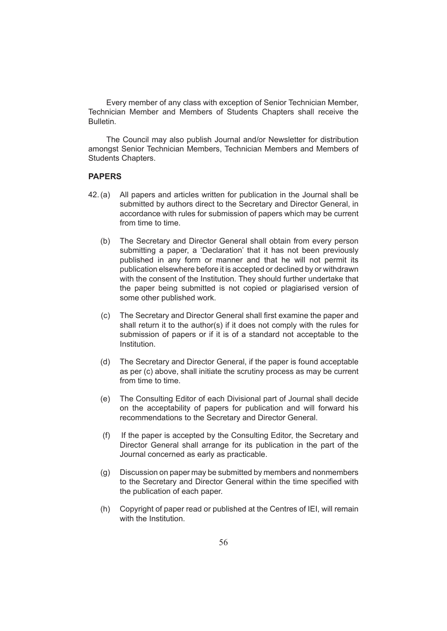Every member of any class with exception of Senior Technician Member, Technician Member and Members of Students Chapters shall receive the Bulletin.

The Council may also publish Journal and/or Newsletter for distribution amongst Senior Technician Members, Technician Members and Members of Students Chapters.

# **PAPERS**

- 42.(a) All papers and articles written for publication in the Journal shall be submitted by authors direct to the Secretary and Director General, in accordance with rules for submission of papers which may be current from time to time.
	- (b) The Secretary and Director General shall obtain from every person submitting a paper, a 'Declaration' that it has not been previously published in any form or manner and that he will not permit its publication elsewhere before it is accepted or declined by or withdrawn with the consent of the Institution. They should further undertake that the paper being submitted is not copied or plagiarised version of some other published work.
	- (c) The Secretary and Director General shall first examine the paper and shall return it to the author(s) if it does not comply with the rules for submission of papers or if it is of a standard not acceptable to the Institution.
	- (d) The Secretary and Director General, if the paper is found acceptable as per (c) above, shall initiate the scrutiny process as may be current from time to time.
	- (e) The Consulting Editor of each Divisional part of Journal shall decide on the acceptability of papers for publication and will forward his recommendations to the Secretary and Director General.
	- (f) If the paper is accepted by the Consulting Editor, the Secretary and Director General shall arrange for its publication in the part of the Journal concerned as early as practicable.
	- (g) Discussion on paper may be submitted by members and nonmembers to the Secretary and Director General within the time specified with the publication of each paper.
	- (h) Copyright of paper read or published at the Centres of IEI, will remain with the Institution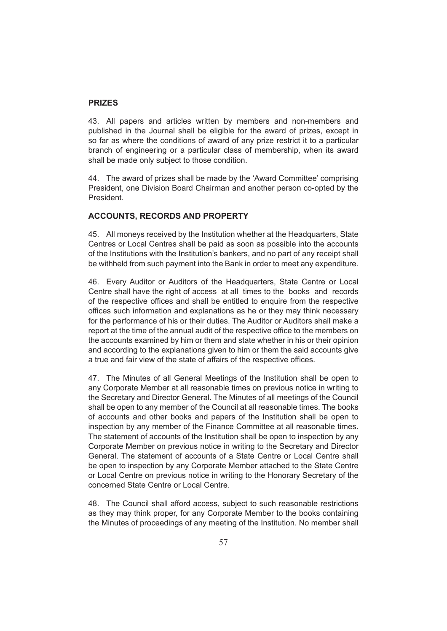### **PRIZES**

43. All papers and articles written by members and non-members and published in the Journal shall be eligible for the award of prizes, except in so far as where the conditions of award of any prize restrict it to a particular branch of engineering or a particular class of membership, when its award shall be made only subject to those condition.

44. The award of prizes shall be made by the 'Award Committee' comprising President, one Division Board Chairman and another person co-opted by the President.

# **ACCOUNTS, RECORDS AND PROPERTY**

45. All moneys received by the Institution whether at the Headquarters, State Centres or Local Centres shall be paid as soon as possible into the accounts of the Institutions with the Institution's bankers, and no part of any receipt shall be withheld from such payment into the Bank in order to meet any expenditure.

46. Every Auditor or Auditors of the Headquarters, State Centre or Local Centre shall have the right of access at all times to the books and records of the respective offices and shall be entitled to enquire from the respective offices such information and explanations as he or they may think necessary for the performance of his or their duties. The Auditor or Auditors shall make a report at the time of the annual audit of the respective office to the members on the accounts examined by him or them and state whether in his or their opinion and according to the explanations given to him or them the said accounts give a true and fair view of the state of affairs of the respective offices.

47. The Minutes of all General Meetings of the Institution shall be open to any Corporate Member at all reasonable times on previous notice in writing to the Secretary and Director General. The Minutes of all meetings of the Council shall be open to any member of the Council at all reasonable times. The books of accounts and other books and papers of the Institution shall be open to inspection by any member of the Finance Committee at all reasonable times. The statement of accounts of the Institution shall be open to inspection by any Corporate Member on previous notice in writing to the Secretary and Director General. The statement of accounts of a State Centre or Local Centre shall be open to inspection by any Corporate Member attached to the State Centre or Local Centre on previous notice in writing to the Honorary Secretary of the concerned State Centre or Local Centre.

48. The Council shall afford access, subject to such reasonable restrictions as they may think proper, for any Corporate Member to the books containing the Minutes of proceedings of any meeting of the Institution. No member shall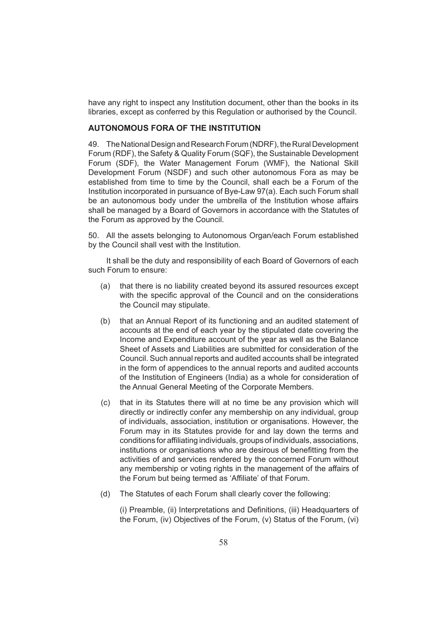have any right to inspect any Institution document, other than the books in its libraries, except as conferred by this Regulation or authorised by the Council.

# **AUTONOMOUS FORA OF THE INSTITUTION**

49. The National Design and Research Forum (NDRF), the Rural Development Forum (RDF), the Safety & Quality Forum (SQF), the Sustainable Development Forum (SDF), the Water Management Forum (WMF), the National Skill Development Forum (NSDF) and such other autonomous Fora as may be established from time to time by the Council, shall each be a Forum of the Institution incorporated in pursuance of Bye-Law 97(a). Each such Forum shall be an autonomous body under the umbrella of the Institution whose affairs shall be managed by a Board of Governors in accordance with the Statutes of the Forum as approved by the Council.

50. All the assets belonging to Autonomous Organ/each Forum established by the Council shall vest with the Institution.

It shall be the duty and responsibility of each Board of Governors of each such Forum to ensure:

- (a) that there is no liability created beyond its assured resources except with the specific approval of the Council and on the considerations the Council may stipulate.
- (b) that an Annual Report of its functioning and an audited statement of accounts at the end of each year by the stipulated date covering the Income and Expenditure account of the year as well as the Balance Sheet of Assets and Liabilities are submitted for consideration of the Council. Such annual reports and audited accounts shall be integrated in the form of appendices to the annual reports and audited accounts of the Institution of Engineers (India) as a whole for consideration of the Annual General Meeting of the Corporate Members.
- (c) that in its Statutes there will at no time be any provision which will directly or indirectly confer any membership on any individual, group of individuals, association, institution or organisations. However, the Forum may in its Statutes provide for and lay down the terms and conditions for affiliating individuals, groups of individuals, associations, institutions or organisations who are desirous of benefitting from the activities of and services rendered by the concerned Forum without any membership or voting rights in the management of the affairs of the Forum but being termed as 'Affiliate' of that Forum.
- (d) The Statutes of each Forum shall clearly cover the following:

(i) Preamble, (ii) Interpretations and Definitions, (iii) Headquarters of the Forum, (iv) Objectives of the Forum, (v) Status of the Forum, (vi)